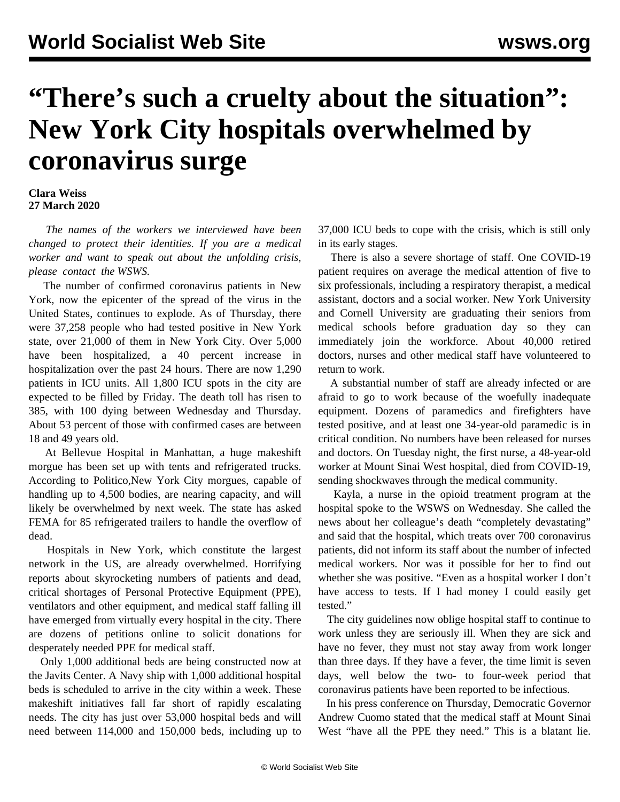## **"There's such a cruelty about the situation": New York City hospitals overwhelmed by coronavirus surge**

## **Clara Weiss 27 March 2020**

 *The names of the workers we interviewed have been changed to protect their identities. If you are a medical worker and want to speak out about the unfolding crisis, please [contact](/en/special/contact.html) the WSWS.*

 The number of confirmed coronavirus patients in New York, now the epicenter of the spread of the virus in the United States, continues to explode. As of Thursday, there were 37,258 people who had tested positive in New York state, over 21,000 of them in New York City. Over 5,000 have been hospitalized, a 40 percent increase in hospitalization over the past 24 hours. There are now 1,290 patients in ICU units. All 1,800 ICU spots in the city are expected to be filled by Friday. The death toll has risen to 385, with 100 dying between Wednesday and Thursday. About 53 percent of those with confirmed cases are between 18 and 49 years old.

 At Bellevue Hospital in Manhattan, a huge makeshift morgue has been set up with tents and refrigerated trucks. According to Politico*,*New York City morgues, capable of handling up to 4,500 bodies, are nearing capacity, and will likely be overwhelmed by next week. The state has asked FEMA for 85 refrigerated trailers to handle the overflow of dead.

 Hospitals in New York, which constitute the largest network in the US, are already overwhelmed. Horrifying reports about skyrocketing numbers of patients and dead, critical shortages of Personal Protective Equipment (PPE), ventilators and other equipment, and medical staff falling ill have emerged from virtually every hospital in the city. There are dozens of petitions online to solicit donations for desperately needed PPE for medical staff.

 Only 1,000 additional beds are being constructed now at the Javits Center. A Navy ship with 1,000 additional hospital beds is scheduled to arrive in the city within a week. These makeshift initiatives fall far short of rapidly escalating needs. The city has just over 53,000 hospital beds and will need between 114,000 and 150,000 beds, including up to 37,000 ICU beds to cope with the crisis, which is still only in its early stages.

 There is also a severe shortage of staff. One COVID-19 patient requires on average the medical attention of five to six professionals, including a respiratory therapist, a medical assistant, doctors and a social worker. New York University and Cornell University are graduating their seniors from medical schools before graduation day so they can immediately join the workforce. About 40,000 retired doctors, nurses and other medical staff have volunteered to return to work.

 A substantial number of staff are already infected or are afraid to go to work because of the woefully inadequate equipment. Dozens of paramedics and firefighters have tested positive, and at least one 34-year-old paramedic is in critical condition. No numbers have been released for nurses and doctors. On Tuesday night, the first nurse, a 48-year-old worker at Mount Sinai West hospital, died from COVID-19, sending shockwaves through the medical community.

 Kayla, a nurse in the opioid treatment program at the hospital spoke to the WSWS on Wednesday. She called the news about her colleague's death "completely devastating" and said that the hospital, which treats over 700 coronavirus patients, did not inform its staff about the number of infected medical workers. Nor was it possible for her to find out whether she was positive. "Even as a hospital worker I don't have access to tests. If I had money I could easily get tested."

 The city guidelines now oblige hospital staff to continue to work unless they are seriously ill. When they are sick and have no fever, they must not stay away from work longer than three days. If they have a fever, the time limit is seven days, well below the two- to four-week period that coronavirus patients have been reported to be infectious.

 In his press conference on Thursday, Democratic Governor Andrew Cuomo stated that the medical staff at Mount Sinai West "have all the PPE they need." This is a blatant lie.